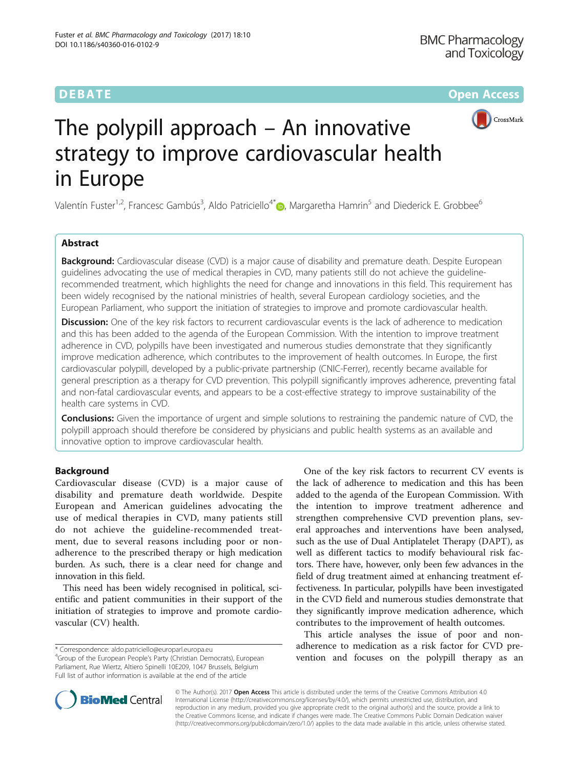**DEBATE CONSERVATION CONSERVATION** 



# The polypill approach – An innovative strategy to improve cardiovascular health in Europe

Valentín Fuster<sup>1[,](http://orcid.org/0000-0003-4634-838X)2</sup>, Francesc Gambús<sup>3</sup>, Aldo Patriciello<sup>4\*</sup>. Margaretha Hamrin<sup>5</sup> and Diederick E. Grobbee<sup>6</sup>

# Abstract

Background: Cardiovascular disease (CVD) is a major cause of disability and premature death. Despite European guidelines advocating the use of medical therapies in CVD, many patients still do not achieve the guidelinerecommended treatment, which highlights the need for change and innovations in this field. This requirement has been widely recognised by the national ministries of health, several European cardiology societies, and the European Parliament, who support the initiation of strategies to improve and promote cardiovascular health.

**Discussion:** One of the key risk factors to recurrent cardiovascular events is the lack of adherence to medication and this has been added to the agenda of the European Commission. With the intention to improve treatment adherence in CVD, polypills have been investigated and numerous studies demonstrate that they significantly improve medication adherence, which contributes to the improvement of health outcomes. In Europe, the first cardiovascular polypill, developed by a public-private partnership (CNIC-Ferrer), recently became available for general prescription as a therapy for CVD prevention. This polypill significantly improves adherence, preventing fatal and non-fatal cardiovascular events, and appears to be a cost-effective strategy to improve sustainability of the health care systems in CVD.

Conclusions: Given the importance of urgent and simple solutions to restraining the pandemic nature of CVD, the polypill approach should therefore be considered by physicians and public health systems as an available and innovative option to improve cardiovascular health.

# Background

Cardiovascular disease (CVD) is a major cause of disability and premature death worldwide. Despite European and American guidelines advocating the use of medical therapies in CVD, many patients still do not achieve the guideline-recommended treatment, due to several reasons including poor or nonadherence to the prescribed therapy or high medication burden. As such, there is a clear need for change and innovation in this field.

This need has been widely recognised in political, scientific and patient communities in their support of the initiation of strategies to improve and promote cardiovascular (CV) health.

One of the key risk factors to recurrent CV events is the lack of adherence to medication and this has been added to the agenda of the European Commission. With the intention to improve treatment adherence and strengthen comprehensive CVD prevention plans, several approaches and interventions have been analysed, such as the use of Dual Antiplatelet Therapy (DAPT), as well as different tactics to modify behavioural risk factors. There have, however, only been few advances in the field of drug treatment aimed at enhancing treatment effectiveness. In particular, polypills have been investigated in the CVD field and numerous studies demonstrate that they significantly improve medication adherence, which contributes to the improvement of health outcomes.

This article analyses the issue of poor and nonadherence to medication as a risk factor for CVD prevention and focuses on the polypill therapy as an



© The Author(s). 2017 **Open Access** This article is distributed under the terms of the Creative Commons Attribution 4.0 International License [\(http://creativecommons.org/licenses/by/4.0/](http://creativecommons.org/licenses/by/4.0/)), which permits unrestricted use, distribution, and reproduction in any medium, provided you give appropriate credit to the original author(s) and the source, provide a link to the Creative Commons license, and indicate if changes were made. The Creative Commons Public Domain Dedication waiver [\(http://creativecommons.org/publicdomain/zero/1.0/](http://creativecommons.org/publicdomain/zero/1.0/)) applies to the data made available in this article, unless otherwise stated.

<sup>\*</sup> Correspondence: [aldo.patriciello@europarl.europa.eu](mailto:aldo.patriciello@europarl.europa.eu) <sup>4</sup>

<sup>&</sup>lt;sup>4</sup>Group of the European People's Party (Christian Democrats), European Parliament, Rue Wiertz, Altiero Spinelli 10E209, 1047 Brussels, Belgium Full list of author information is available at the end of the article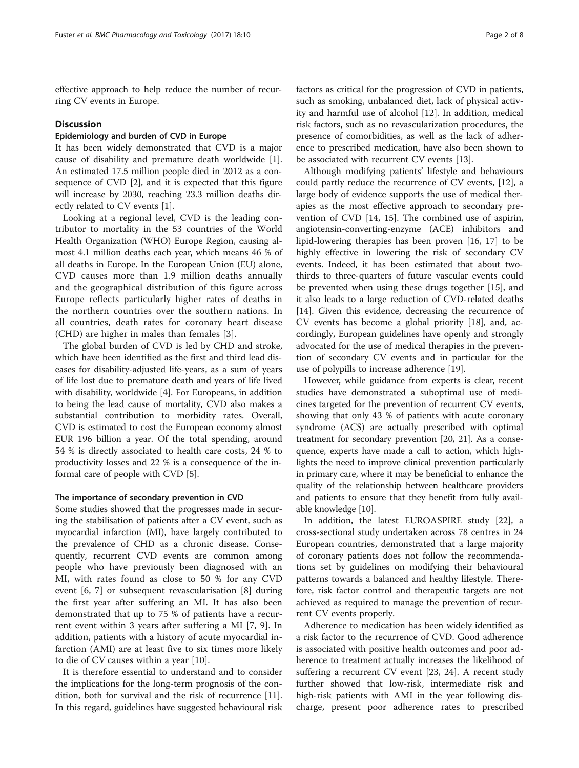effective approach to help reduce the number of recurring CV events in Europe.

#### **Discussion**

# Epidemiology and burden of CVD in Europe

It has been widely demonstrated that CVD is a major cause of disability and premature death worldwide [\[1](#page-6-0)]. An estimated 17.5 million people died in 2012 as a consequence of CVD [\[2\]](#page-6-0), and it is expected that this figure will increase by 2030, reaching 23.3 million deaths directly related to CV events [\[1](#page-6-0)].

Looking at a regional level, CVD is the leading contributor to mortality in the 53 countries of the World Health Organization (WHO) Europe Region, causing almost 4.1 million deaths each year, which means 46 % of all deaths in Europe. In the European Union (EU) alone, CVD causes more than 1.9 million deaths annually and the geographical distribution of this figure across Europe reflects particularly higher rates of deaths in the northern countries over the southern nations. In all countries, death rates for coronary heart disease (CHD) are higher in males than females [[3\]](#page-6-0).

The global burden of CVD is led by CHD and stroke, which have been identified as the first and third lead diseases for disability-adjusted life-years, as a sum of years of life lost due to premature death and years of life lived with disability, worldwide [[4\]](#page-6-0). For Europeans, in addition to being the lead cause of mortality, CVD also makes a substantial contribution to morbidity rates. Overall, CVD is estimated to cost the European economy almost EUR 196 billion a year. Of the total spending, around 54 % is directly associated to health care costs, 24 % to productivity losses and 22 % is a consequence of the informal care of people with CVD [[5\]](#page-6-0).

### The importance of secondary prevention in CVD

Some studies showed that the progresses made in securing the stabilisation of patients after a CV event, such as myocardial infarction (MI), have largely contributed to the prevalence of CHD as a chronic disease. Consequently, recurrent CVD events are common among people who have previously been diagnosed with an MI, with rates found as close to 50 % for any CVD event [\[6](#page-6-0), [7\]](#page-6-0) or subsequent revascularisation [[8\]](#page-6-0) during the first year after suffering an MI. It has also been demonstrated that up to 75 % of patients have a recurrent event within 3 years after suffering a MI [[7, 9\]](#page-6-0). In addition, patients with a history of acute myocardial infarction (AMI) are at least five to six times more likely to die of CV causes within a year [\[10](#page-6-0)].

It is therefore essential to understand and to consider the implications for the long-term prognosis of the condition, both for survival and the risk of recurrence [\[11](#page-6-0)]. In this regard, guidelines have suggested behavioural risk factors as critical for the progression of CVD in patients, such as smoking, unbalanced diet, lack of physical activity and harmful use of alcohol [[12\]](#page-6-0). In addition, medical risk factors, such as no revascularization procedures, the presence of comorbidities, as well as the lack of adherence to prescribed medication, have also been shown to be associated with recurrent CV events [\[13\]](#page-6-0).

Although modifying patients' lifestyle and behaviours could partly reduce the recurrence of CV events, [[12](#page-6-0)], a large body of evidence supports the use of medical therapies as the most effective approach to secondary prevention of CVD [\[14](#page-6-0), [15](#page-6-0)]. The combined use of aspirin, angiotensin-converting-enzyme (ACE) inhibitors and lipid-lowering therapies has been proven [[16](#page-6-0), [17](#page-6-0)] to be highly effective in lowering the risk of secondary CV events. Indeed, it has been estimated that about twothirds to three-quarters of future vascular events could be prevented when using these drugs together [[15\]](#page-6-0), and it also leads to a large reduction of CVD-related deaths [[14\]](#page-6-0). Given this evidence, decreasing the recurrence of CV events has become a global priority [[18](#page-6-0)], and, accordingly, European guidelines have openly and strongly advocated for the use of medical therapies in the prevention of secondary CV events and in particular for the use of polypills to increase adherence [[19\]](#page-6-0).

However, while guidance from experts is clear, recent studies have demonstrated a suboptimal use of medicines targeted for the prevention of recurrent CV events, showing that only 43 % of patients with acute coronary syndrome (ACS) are actually prescribed with optimal treatment for secondary prevention [\[20, 21](#page-6-0)]. As a consequence, experts have made a call to action, which highlights the need to improve clinical prevention particularly in primary care, where it may be beneficial to enhance the quality of the relationship between healthcare providers and patients to ensure that they benefit from fully available knowledge [[10\]](#page-6-0).

In addition, the latest EUROASPIRE study [[22\]](#page-6-0), a cross-sectional study undertaken across 78 centres in 24 European countries, demonstrated that a large majority of coronary patients does not follow the recommendations set by guidelines on modifying their behavioural patterns towards a balanced and healthy lifestyle. Therefore, risk factor control and therapeutic targets are not achieved as required to manage the prevention of recurrent CV events properly.

Adherence to medication has been widely identified as a risk factor to the recurrence of CVD. Good adherence is associated with positive health outcomes and poor adherence to treatment actually increases the likelihood of suffering a recurrent CV event [\[23](#page-6-0), [24](#page-6-0)]. A recent study further showed that low-risk, intermediate risk and high-risk patients with AMI in the year following discharge, present poor adherence rates to prescribed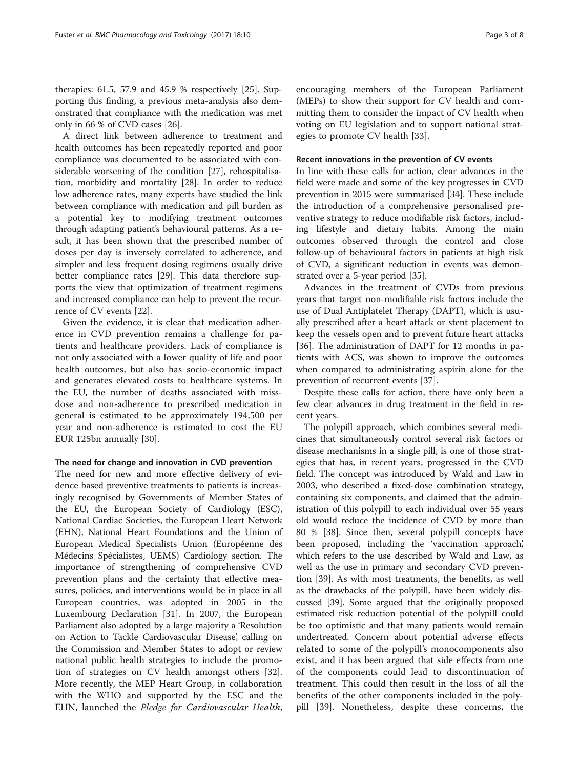therapies: 61.5, 57.9 and 45.9 % respectively [[25\]](#page-7-0). Supporting this finding, a previous meta-analysis also demonstrated that compliance with the medication was met only in 66 % of CVD cases [\[26](#page-7-0)].

A direct link between adherence to treatment and health outcomes has been repeatedly reported and poor compliance was documented to be associated with considerable worsening of the condition [\[27\]](#page-7-0), rehospitalisation, morbidity and mortality [[28\]](#page-7-0). In order to reduce low adherence rates, many experts have studied the link between compliance with medication and pill burden as a potential key to modifying treatment outcomes through adapting patient's behavioural patterns. As a result, it has been shown that the prescribed number of doses per day is inversely correlated to adherence, and simpler and less frequent dosing regimens usually drive better compliance rates [\[29\]](#page-7-0). This data therefore supports the view that optimization of treatment regimens and increased compliance can help to prevent the recurrence of CV events [\[22](#page-6-0)].

Given the evidence, it is clear that medication adherence in CVD prevention remains a challenge for patients and healthcare providers. Lack of compliance is not only associated with a lower quality of life and poor health outcomes, but also has socio-economic impact and generates elevated costs to healthcare systems. In the EU, the number of deaths associated with missdose and non-adherence to prescribed medication in general is estimated to be approximately 194,500 per year and non-adherence is estimated to cost the EU EUR 125bn annually [[30\]](#page-7-0).

#### The need for change and innovation in CVD prevention

The need for new and more effective delivery of evidence based preventive treatments to patients is increasingly recognised by Governments of Member States of the EU, the European Society of Cardiology (ESC), National Cardiac Societies, the European Heart Network (EHN), National Heart Foundations and the Union of European Medical Specialists Union (Européenne des Médecins Spécialistes, UEMS) Cardiology section. The importance of strengthening of comprehensive CVD prevention plans and the certainty that effective measures, policies, and interventions would be in place in all European countries, was adopted in 2005 in the Luxembourg Declaration [[31](#page-7-0)]. In 2007, the European Parliament also adopted by a large majority a 'Resolution on Action to Tackle Cardiovascular Disease', calling on the Commission and Member States to adopt or review national public health strategies to include the promotion of strategies on CV health amongst others [\[32](#page-7-0)]. More recently, the MEP Heart Group, in collaboration with the WHO and supported by the ESC and the EHN, launched the Pledge for Cardiovascular Health,

encouraging members of the European Parliament (MEPs) to show their support for CV health and committing them to consider the impact of CV health when voting on EU legislation and to support national strat-

# Recent innovations in the prevention of CV events

egies to promote CV health [[33\]](#page-7-0).

In line with these calls for action, clear advances in the field were made and some of the key progresses in CVD prevention in 2015 were summarised [\[34](#page-7-0)]. These include the introduction of a comprehensive personalised preventive strategy to reduce modifiable risk factors, including lifestyle and dietary habits. Among the main outcomes observed through the control and close follow-up of behavioural factors in patients at high risk of CVD, a significant reduction in events was demonstrated over a 5-year period [\[35\]](#page-7-0).

Advances in the treatment of CVDs from previous years that target non-modifiable risk factors include the use of Dual Antiplatelet Therapy (DAPT), which is usually prescribed after a heart attack or stent placement to keep the vessels open and to prevent future heart attacks [[36\]](#page-7-0). The administration of DAPT for 12 months in patients with ACS, was shown to improve the outcomes when compared to administrating aspirin alone for the prevention of recurrent events [[37\]](#page-7-0).

Despite these calls for action, there have only been a few clear advances in drug treatment in the field in recent years.

The polypill approach, which combines several medicines that simultaneously control several risk factors or disease mechanisms in a single pill, is one of those strategies that has, in recent years, progressed in the CVD field. The concept was introduced by Wald and Law in 2003, who described a fixed-dose combination strategy, containing six components, and claimed that the administration of this polypill to each individual over 55 years old would reduce the incidence of CVD by more than 80 % [[38](#page-7-0)]. Since then, several polypill concepts have been proposed, including the 'vaccination approach', which refers to the use described by Wald and Law, as well as the use in primary and secondary CVD prevention [[39\]](#page-7-0). As with most treatments, the benefits, as well as the drawbacks of the polypill, have been widely discussed [[39](#page-7-0)]. Some argued that the originally proposed estimated risk reduction potential of the polypill could be too optimistic and that many patients would remain undertreated. Concern about potential adverse effects related to some of the polypill's monocomponents also exist, and it has been argued that side effects from one of the components could lead to discontinuation of treatment. This could then result in the loss of all the benefits of the other components included in the polypill [[39\]](#page-7-0). Nonetheless, despite these concerns, the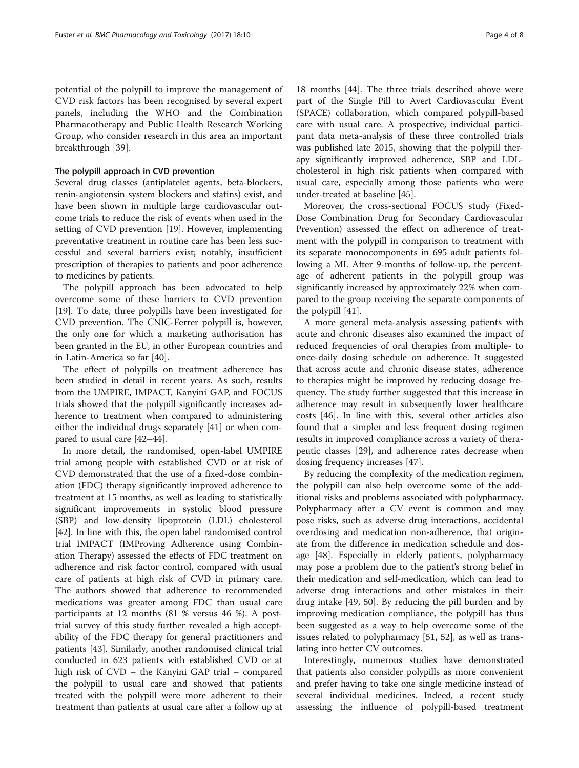potential of the polypill to improve the management of CVD risk factors has been recognised by several expert panels, including the WHO and the Combination Pharmacotherapy and Public Health Research Working Group, who consider research in this area an important breakthrough [\[39](#page-7-0)].

#### The polypill approach in CVD prevention

Several drug classes (antiplatelet agents, beta-blockers, renin-angiotensin system blockers and statins) exist, and have been shown in multiple large cardiovascular outcome trials to reduce the risk of events when used in the setting of CVD prevention [[19\]](#page-6-0). However, implementing preventative treatment in routine care has been less successful and several barriers exist; notably, insufficient prescription of therapies to patients and poor adherence to medicines by patients.

The polypill approach has been advocated to help overcome some of these barriers to CVD prevention [[19\]](#page-6-0). To date, three polypills have been investigated for CVD prevention. The CNIC-Ferrer polypill is, however, the only one for which a marketing authorisation has been granted in the EU, in other European countries and in Latin-America so far [[40\]](#page-7-0).

The effect of polypills on treatment adherence has been studied in detail in recent years. As such, results from the UMPIRE, IMPACT, Kanyini GAP, and FOCUS trials showed that the polypill significantly increases adherence to treatment when compared to administering either the individual drugs separately [[41\]](#page-7-0) or when compared to usual care [\[42](#page-7-0)–[44\]](#page-7-0).

In more detail, the randomised, open-label UMPIRE trial among people with established CVD or at risk of CVD demonstrated that the use of a fixed-dose combination (FDC) therapy significantly improved adherence to treatment at 15 months, as well as leading to statistically significant improvements in systolic blood pressure (SBP) and low-density lipoprotein (LDL) cholesterol [[42\]](#page-7-0). In line with this, the open label randomised control trial IMPACT (IMProving Adherence using Combination Therapy) assessed the effects of FDC treatment on adherence and risk factor control, compared with usual care of patients at high risk of CVD in primary care. The authors showed that adherence to recommended medications was greater among FDC than usual care participants at 12 months (81 % versus 46 %). A posttrial survey of this study further revealed a high acceptability of the FDC therapy for general practitioners and patients [[43](#page-7-0)]. Similarly, another randomised clinical trial conducted in 623 patients with established CVD or at high risk of CVD – the Kanyini GAP trial – compared the polypill to usual care and showed that patients treated with the polypill were more adherent to their treatment than patients at usual care after a follow up at

18 months [[44](#page-7-0)]. The three trials described above were part of the Single Pill to Avert Cardiovascular Event (SPACE) collaboration, which compared polypill-based care with usual care. A prospective, individual participant data meta-analysis of these three controlled trials was published late 2015, showing that the polypill therapy significantly improved adherence, SBP and LDLcholesterol in high risk patients when compared with usual care, especially among those patients who were under-treated at baseline [[45\]](#page-7-0).

Moreover, the cross-sectional FOCUS study (Fixed-Dose Combination Drug for Secondary Cardiovascular Prevention) assessed the effect on adherence of treatment with the polypill in comparison to treatment with its separate monocomponents in 695 adult patients following a MI. After 9-months of follow-up, the percentage of adherent patients in the polypill group was significantly increased by approximately 22% when compared to the group receiving the separate components of the polypill [[41\]](#page-7-0).

A more general meta-analysis assessing patients with acute and chronic diseases also examined the impact of reduced frequencies of oral therapies from multiple- to once-daily dosing schedule on adherence. It suggested that across acute and chronic disease states, adherence to therapies might be improved by reducing dosage frequency. The study further suggested that this increase in adherence may result in subsequently lower healthcare costs [[46\]](#page-7-0). In line with this, several other articles also found that a simpler and less frequent dosing regimen results in improved compliance across a variety of therapeutic classes [[29\]](#page-7-0), and adherence rates decrease when dosing frequency increases [[47](#page-7-0)].

By reducing the complexity of the medication regimen, the polypill can also help overcome some of the additional risks and problems associated with polypharmacy. Polypharmacy after a CV event is common and may pose risks, such as adverse drug interactions, accidental overdosing and medication non-adherence, that originate from the difference in medication schedule and dosage [\[48](#page-7-0)]. Especially in elderly patients, polypharmacy may pose a problem due to the patient's strong belief in their medication and self-medication, which can lead to adverse drug interactions and other mistakes in their drug intake [[49](#page-7-0), [50\]](#page-7-0). By reducing the pill burden and by improving medication compliance, the polypill has thus been suggested as a way to help overcome some of the issues related to polypharmacy [[51, 52](#page-7-0)], as well as translating into better CV outcomes.

Interestingly, numerous studies have demonstrated that patients also consider polypills as more convenient and prefer having to take one single medicine instead of several individual medicines. Indeed, a recent study assessing the influence of polypill-based treatment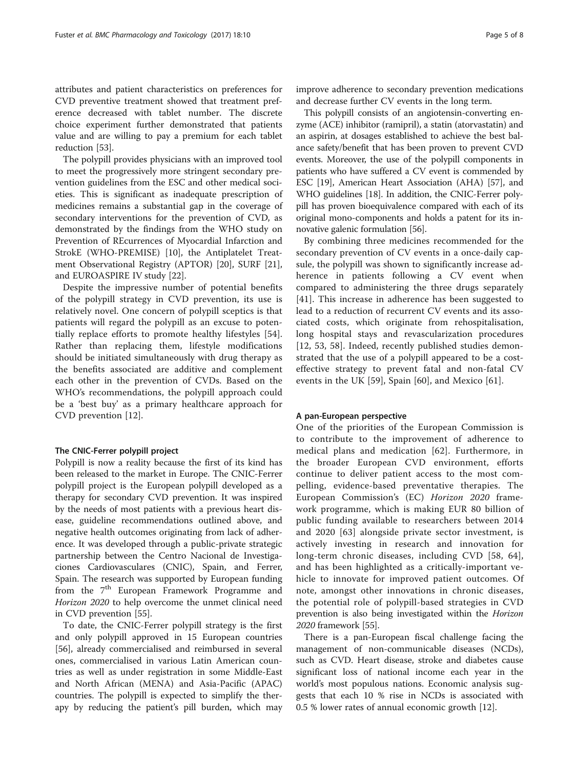attributes and patient characteristics on preferences for CVD preventive treatment showed that treatment preference decreased with tablet number. The discrete choice experiment further demonstrated that patients value and are willing to pay a premium for each tablet reduction [\[53\]](#page-7-0).

The polypill provides physicians with an improved tool to meet the progressively more stringent secondary prevention guidelines from the ESC and other medical societies. This is significant as inadequate prescription of medicines remains a substantial gap in the coverage of secondary interventions for the prevention of CVD, as demonstrated by the findings from the WHO study on Prevention of REcurrences of Myocardial Infarction and StrokE (WHO-PREMISE) [\[10\]](#page-6-0), the Antiplatelet Treatment Observational Registry (APTOR) [[20\]](#page-6-0), SURF [\[21](#page-6-0)], and EUROASPIRE IV study [[22](#page-6-0)].

Despite the impressive number of potential benefits of the polypill strategy in CVD prevention, its use is relatively novel. One concern of polypill sceptics is that patients will regard the polypill as an excuse to potentially replace efforts to promote healthy lifestyles [\[54](#page-7-0)]. Rather than replacing them, lifestyle modifications should be initiated simultaneously with drug therapy as the benefits associated are additive and complement each other in the prevention of CVDs. Based on the WHO's recommendations, the polypill approach could be a 'best buy' as a primary healthcare approach for CVD prevention [[12\]](#page-6-0).

#### The CNIC-Ferrer polypill project

Polypill is now a reality because the first of its kind has been released to the market in Europe. The CNIC-Ferrer polypill project is the European polypill developed as a therapy for secondary CVD prevention. It was inspired by the needs of most patients with a previous heart disease, guideline recommendations outlined above, and negative health outcomes originating from lack of adherence. It was developed through a public-private strategic partnership between the Centro Nacional de Investigaciones Cardiovasculares (CNIC), Spain, and Ferrer, Spain. The research was supported by European funding from the 7<sup>th</sup> European Framework Programme and Horizon 2020 to help overcome the unmet clinical need in CVD prevention [[55](#page-7-0)].

To date, the CNIC-Ferrer polypill strategy is the first and only polypill approved in 15 European countries [[56\]](#page-7-0), already commercialised and reimbursed in several ones, commercialised in various Latin American countries as well as under registration in some Middle-East and North African (MENA) and Asia-Pacific (APAC) countries. The polypill is expected to simplify the therapy by reducing the patient's pill burden, which may

improve adherence to secondary prevention medications and decrease further CV events in the long term.

This polypill consists of an angiotensin-converting enzyme (ACE) inhibitor (ramipril), a statin (atorvastatin) and an aspirin, at dosages established to achieve the best balance safety/benefit that has been proven to prevent CVD events. Moreover, the use of the polypill components in patients who have suffered a CV event is commended by ESC [\[19\]](#page-6-0), American Heart Association (AHA) [[57](#page-7-0)], and WHO guidelines [\[18\]](#page-6-0). In addition, the CNIC-Ferrer polypill has proven bioequivalence compared with each of its original mono-components and holds a patent for its innovative galenic formulation [\[56\]](#page-7-0).

By combining three medicines recommended for the secondary prevention of CV events in a once-daily capsule, the polypill was shown to significantly increase adherence in patients following a CV event when compared to administering the three drugs separately [[41\]](#page-7-0). This increase in adherence has been suggested to lead to a reduction of recurrent CV events and its associated costs, which originate from rehospitalisation, long hospital stays and revascularization procedures [[12,](#page-6-0) [53, 58\]](#page-7-0). Indeed, recently published studies demonstrated that the use of a polypill appeared to be a costeffective strategy to prevent fatal and non-fatal CV events in the UK [\[59](#page-7-0)], Spain [[60](#page-7-0)], and Mexico [[61\]](#page-7-0).

#### A pan-European perspective

One of the priorities of the European Commission is to contribute to the improvement of adherence to medical plans and medication [\[62\]](#page-7-0). Furthermore, in the broader European CVD environment, efforts continue to deliver patient access to the most compelling, evidence-based preventative therapies. The European Commission's (EC) Horizon 2020 framework programme, which is making EUR 80 billion of public funding available to researchers between 2014 and 2020 [[63\]](#page-7-0) alongside private sector investment, is actively investing in research and innovation for long-term chronic diseases, including CVD [\[58, 64](#page-7-0)], and has been highlighted as a critically-important vehicle to innovate for improved patient outcomes. Of note, amongst other innovations in chronic diseases, the potential role of polypill-based strategies in CVD prevention is also being investigated within the Horizon 2020 framework [[55](#page-7-0)].

There is a pan-European fiscal challenge facing the management of non-communicable diseases (NCDs), such as CVD. Heart disease, stroke and diabetes cause significant loss of national income each year in the world's most populous nations. Economic analysis suggests that each 10 % rise in NCDs is associated with 0.5 % lower rates of annual economic growth [\[12](#page-6-0)].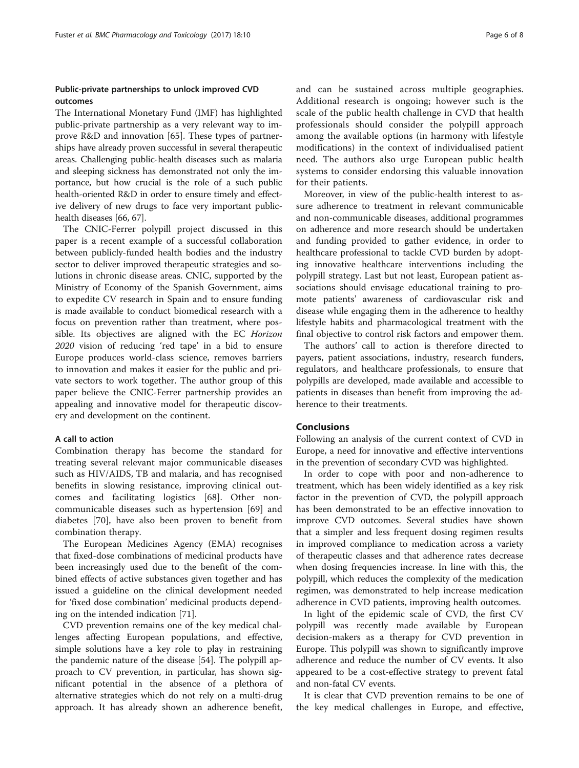# Public-private partnerships to unlock improved CVD outcomes

The International Monetary Fund (IMF) has highlighted public-private partnership as a very relevant way to improve R&D and innovation [\[65](#page-7-0)]. These types of partnerships have already proven successful in several therapeutic areas. Challenging public-health diseases such as malaria and sleeping sickness has demonstrated not only the importance, but how crucial is the role of a such public health-oriented R&D in order to ensure timely and effective delivery of new drugs to face very important publichealth diseases [\[66](#page-7-0), [67](#page-7-0)].

The CNIC-Ferrer polypill project discussed in this paper is a recent example of a successful collaboration between publicly-funded health bodies and the industry sector to deliver improved therapeutic strategies and solutions in chronic disease areas. CNIC, supported by the Ministry of Economy of the Spanish Government, aims to expedite CV research in Spain and to ensure funding is made available to conduct biomedical research with a focus on prevention rather than treatment, where possible. Its objectives are aligned with the EC Horizon 2020 vision of reducing 'red tape' in a bid to ensure Europe produces world-class science, removes barriers to innovation and makes it easier for the public and private sectors to work together. The author group of this paper believe the CNIC-Ferrer partnership provides an appealing and innovative model for therapeutic discovery and development on the continent.

# A call to action

Combination therapy has become the standard for treating several relevant major communicable diseases such as HIV/AIDS, TB and malaria, and has recognised benefits in slowing resistance, improving clinical outcomes and facilitating logistics [\[68](#page-7-0)]. Other noncommunicable diseases such as hypertension [[69\]](#page-7-0) and diabetes [[70\]](#page-7-0), have also been proven to benefit from combination therapy.

The European Medicines Agency (EMA) recognises that fixed-dose combinations of medicinal products have been increasingly used due to the benefit of the combined effects of active substances given together and has issued a guideline on the clinical development needed for 'fixed dose combination' medicinal products depending on the intended indication [\[71](#page-7-0)].

CVD prevention remains one of the key medical challenges affecting European populations, and effective, simple solutions have a key role to play in restraining the pandemic nature of the disease [[54\]](#page-7-0). The polypill approach to CV prevention, in particular, has shown significant potential in the absence of a plethora of alternative strategies which do not rely on a multi-drug approach. It has already shown an adherence benefit, and can be sustained across multiple geographies. Additional research is ongoing; however such is the scale of the public health challenge in CVD that health professionals should consider the polypill approach among the available options (in harmony with lifestyle modifications) in the context of individualised patient need. The authors also urge European public health systems to consider endorsing this valuable innovation for their patients.

Moreover, in view of the public-health interest to assure adherence to treatment in relevant communicable and non-communicable diseases, additional programmes on adherence and more research should be undertaken and funding provided to gather evidence, in order to healthcare professional to tackle CVD burden by adopting innovative healthcare interventions including the polypill strategy. Last but not least, European patient associations should envisage educational training to promote patients' awareness of cardiovascular risk and disease while engaging them in the adherence to healthy lifestyle habits and pharmacological treatment with the final objective to control risk factors and empower them.

The authors' call to action is therefore directed to payers, patient associations, industry, research funders, regulators, and healthcare professionals, to ensure that polypills are developed, made available and accessible to patients in diseases than benefit from improving the adherence to their treatments.

#### Conclusions

Following an analysis of the current context of CVD in Europe, a need for innovative and effective interventions in the prevention of secondary CVD was highlighted.

In order to cope with poor and non-adherence to treatment, which has been widely identified as a key risk factor in the prevention of CVD, the polypill approach has been demonstrated to be an effective innovation to improve CVD outcomes. Several studies have shown that a simpler and less frequent dosing regimen results in improved compliance to medication across a variety of therapeutic classes and that adherence rates decrease when dosing frequencies increase. In line with this, the polypill, which reduces the complexity of the medication regimen, was demonstrated to help increase medication adherence in CVD patients, improving health outcomes.

In light of the epidemic scale of CVD, the first CV polypill was recently made available by European decision-makers as a therapy for CVD prevention in Europe. This polypill was shown to significantly improve adherence and reduce the number of CV events. It also appeared to be a cost-effective strategy to prevent fatal and non-fatal CV events.

It is clear that CVD prevention remains to be one of the key medical challenges in Europe, and effective,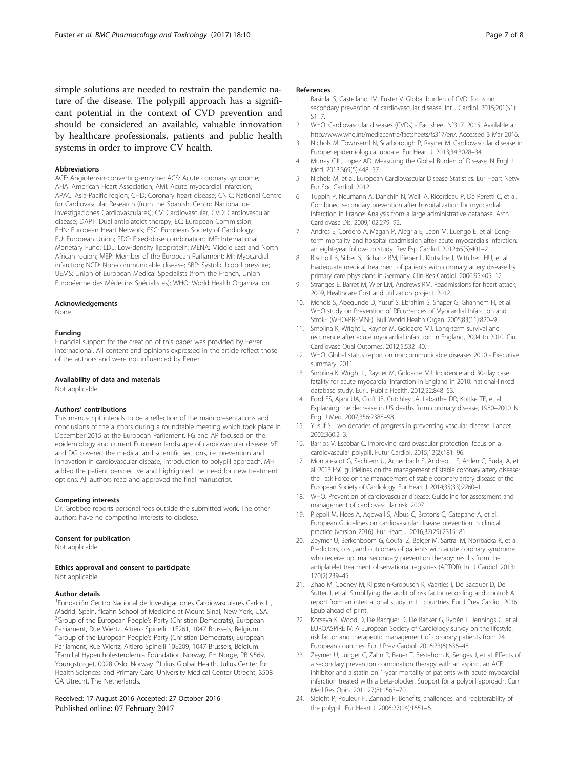<span id="page-6-0"></span>simple solutions are needed to restrain the pandemic nature of the disease. The polypill approach has a significant potential in the context of CVD prevention and should be considered an available, valuable innovation by healthcare professionals, patients and public health systems in order to improve CV health.

#### Abbreviations

ACE: Angiotensin-converting-enzyme; ACS: Acute coronary syndrome; AHA: American Heart Association; AMI: Acute myocardial infarction; APAC: Asia-Pacific region; CHD: Coronary heart disease; CNIC: National Centre for Cardiovascular Research (from the Spanish, Centro Nacional de Investigaciones Cardiovasculares); CV: Cardiovascular; CVD: Cardiovascular disease; DAPT: Dual antiplatelet therapy; EC: European Commission; EHN: European Heart Network; ESC: European Society of Cardiology; EU: European Union; FDC: Fixed-dose combination; IMF: International Monetary Fund; LDL: Low-density lipoprotein; MENA: Middle East and North African region; MEP: Member of the European Parliament; MI: Myocardial infarction; NCD: Non-communicable disease; SBP: Systolic blood pressure; UEMS: Union of European Medical Specialists (from the French, Union Européenne des Médecins Spécialistes); WHO: World Health Organization

#### Acknowledgements

None.

#### Funding

Financial support for the creation of this paper was provided by Ferrer Internacional. All content and opinions expressed in the article reflect those of the authors and were not influenced by Ferrer.

# Availability of data and materials

Not applicable.

#### Authors' contributions

This manuscript intends to be a reflection of the main presentations and conclusions of the authors during a roundtable meeting which took place in December 2015 at the European Parliament. FG and AP focused on the epidemiology and current European landscape of cardiovascular disease. VF and DG covered the medical and scientific sections, i.e. prevention and innovation in cardiovascular disease, introduction to polypill approach. MH added the patient perspective and highlighted the need for new treatment options. All authors read and approved the final manuscript.

#### Competing interests

Dr. Grobbee reports personal fees outside the submitted work. The other authors have no competing interests to disclose.

#### Consent for publication

Not applicable.

#### Ethics approval and consent to participate

Not applicable.

#### Author details

<sup>1</sup> Fundación Centro Nacional de Investigaciones Cardiovasculares Carlos III, Madrid, Spain. <sup>2</sup>Icahn School of Medicine at Mount Sinai, New York, USA.<br><sup>3</sup>Group of the European Boople's Barty (Christian Democrats), European. <sup>3</sup>Group of the European People's Party (Christian Democrats), European Parliament, Rue Wiertz, Altiero Spinelli 11E261, 1047 Brussels, Belgium. 4 Group of the European People's Party (Christian Democrats), European Parliament, Rue Wiertz, Altiero Spinelli 10E209, 1047 Brussels, Belgium. 5 Familial Hypercholesterolemia Foundation Norway, FH Norge, PB 9569, Youngstorget, 0028 Oslo, Norway. <sup>6</sup>Julius Global Health, Julius Center for Health Sciences and Primary Care, University Medical Center Utrecht, 3508 GA Utrecht, The Netherlands.

#### Received: 17 August 2016 Accepted: 27 October 2016 Published online: 07 February 2017

#### References

- 1. Basinlal S, Castellano JM, Fuster V. Global burden of CVD: focus on secondary prevention of cardiovascular disease. Int J Cardiol. 2015;201(S1):  $S1 - 7$
- 2. WHO. Cardiovascular diseases (CVDs) Factsheet N°317. 2015. Available at: <http://www.who.int/mediacentre/factsheets/fs317/en/>. Accessed 3 Mar 2016.
- 3. Nichols M, Townsend N, Scarborough P, Rayner M. Cardiovascular disease in Europe: epidemiological update. Eur Heart J. 2013;34:3028–34.
- 4. Murray CJL, Lopez AD. Measuring the Global Burden of Disease. N Engl J Med. 2013;369(5):448–57.
- 5. Nichols M, et al. European Cardiovascular Disease Statistics. Eur Heart Netw Eur Soc Cardiol. 2012.
- 6. Tuppin P, Neumann A, Danchin N, Weill A, Ricordeau P, De Peretti C, et al. Combined secondary prevention after hospitalization for myocardial infarction in France: Analysis from a large administrative database. Arch Cardiovasc Dis. 2009;102:279–92.
- 7. Andres E, Cordero A, Magan P, Alegria E, Leon M, Luengo E, et al. Longterm mortality and hospital readmission after acute myocardials infarction: an eight-year follow-up study. Rev Esp Cardiol. 2012;65(5):401–2.
- 8. Bischoff B, Silber S, Richartz BM, Pieper L, Klotsche J, Wittchen HU, et al. Inadequate medical treatment of patients with coronary artery disease by primary care physicians in Germany. Clin Res Cardiol. 2006;95:405–12.
- Stranges E, Barret M, Wier LM, Andrews RM. Readmissions for heart attack, 2009, Healthcare Cost and utilization project. 2012.
- 10. Mendis S, Abegunde D, Yusuf S, Ebrahim S, Shaper G, Ghannem H, et al. WHO study on Prevention of REcurrences of Myocardial Infarction and StrokE (WHO-PREMISE). Bull World Health Organ. 2005;83(11):820–9.
- 11. Smolina K, Wright L, Rayner M, Goldacre MJ. Long-term survival and recurrence after acute myocardial infarction in England, 2004 to 2010. Circ Cardiovasc Qual Outomes. 2012;5:532–40.
- 12. WHO. Global status report on noncommunicable diseases 2010 Executive summary. 2011.
- 13. Smolina K, Wright L, Rayner M, Goldacre MJ. Incidence and 30-day case fatality for acute myocardial infarction in England in 2010: national-linked database study. Eur J Public Health. 2012;22:848–53.
- 14. Ford ES, Ajani UA, Croft JB, Critchley JA, Labarthe DR, Kottke TE, et al. Explaining the decrease in US deaths from coronary disease, 1980–2000. N Engl J Med. 2007;356:2388–98.
- 15. Yusuf S. Two decades of progress in preventing vascular disease. Lancet. 2002;360:2–3.
- 16. Barrios V, Escobar C. Improving cardiovascular protection: focus on a cardiovascular polypill. Futur Cardiol. 2015;12(2):181–96.
- 17. Montalescot G, Sechtem U, Achenbach S, Andreotti F, Arden C, Budaj A, et al. 2013 ESC guidelines on the management of stable coronary artery disease: the Task Force on the management of stable coronary artery disease of the European Society of Cardiology. Eur Heart J. 2014;35(33):2260–1.
- 18. WHO. Prevention of cardiovascular disease: Guideline for assessment and management of cardiovascular risk. 2007.
- 19. Piepoli M, Hoes A, Agewall S, Albus C, Brotons C, Catapano A, et al. European Guidelines on cardiovascular disease prevention in clinical practice (version 2016). Eur Heart J. 2016;37(29):2315–81.
- 20. Zeymer U, Berkenboom G, Coufal Z, Belger M, Sartral M, Norrbacka K, et al. Predictors, cost, and outcomes of patients with acute coronary syndrome who receive optimal secondary prevention therapy: results from the antiplatelet treatment observational registries (APTOR). Int J Cardiol. 2013; 170(2):239–45.
- 21. Zhao M, Cooney M, Klipstein-Grobusch K, Vaartjes I, De Bacquer D, De Sutter J, et al. Simplifying the audit of risk factor recording and control: A report from an international study in 11 countries. Eur J Prev Cardiol. 2016. Epub ahead of print.
- 22. Kotseva K, Wood D, De Bacquer D, De Backer G, Rydén L, Jennings C, et al. EUROASPIRE IV: A European Society of Cardiology survey on the lifestyle, risk factor and therapeutic management of coronary patients from 24 European countries. Eur J Prev Cardiol. 2016;23(6):636–48.
- 23. Zeymer U, Jünger C, Zahn R, Bauer T, Bestehorn K, Senges J, et al. Effects of a secondary prevention combination therapy with an aspirin, an ACE inhibitor and a statin on 1-year mortality of patients with acute myocardial infarction treated with a beta-blocker. Support for a polypill approach. Curr Med Res Opin. 2011;27(8):1563–70.
- 24. Sleight P, Pouleur H, Zannad F. Benefits, challenges, and registerability of the polypill. Eur Heart J. 2006;27(14):1651–6.